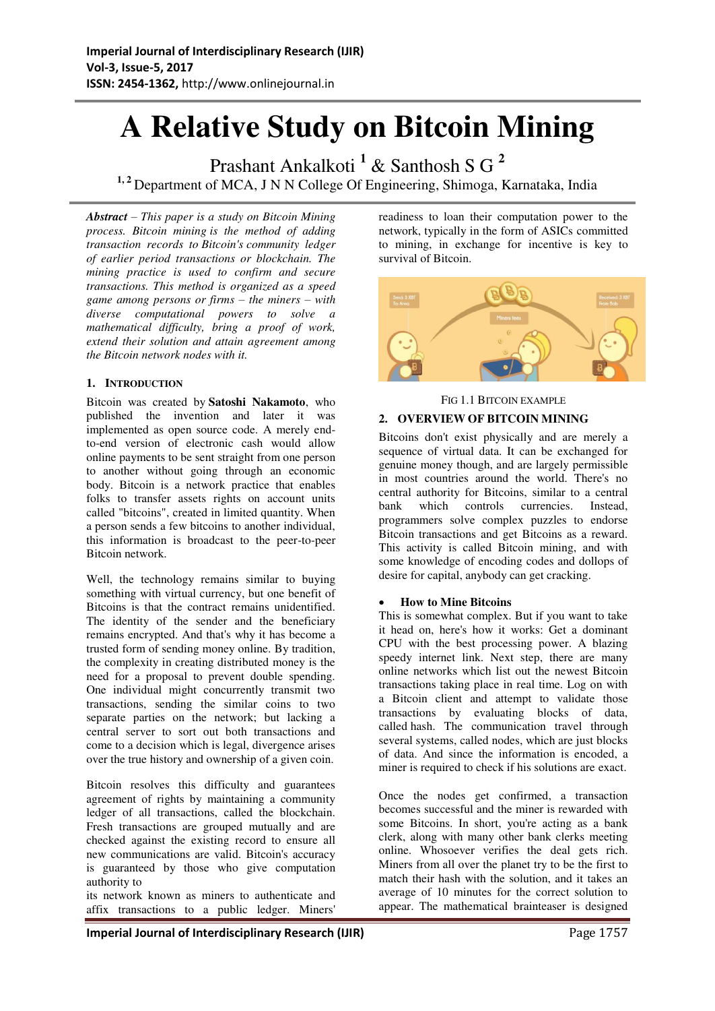# **A Relative Study on Bitcoin Mining**

Prashant Ankalkoti **<sup>1</sup>** & Santhosh S G **<sup>2</sup>** <sup>1, 2</sup> Department of MCA, J N N College Of Engineering, Shimoga, Karnataka, India

*Abstract – This paper is a study on Bitcoin Mining process. Bitcoin mining is the method of adding transaction records to Bitcoin's community ledger of earlier period transactions or blockchain. The mining practice is used to confirm and secure transactions. This method is organized as a speed game among persons or firms – the miners – with diverse computational powers to solve a mathematical difficulty, bring a proof of work, extend their solution and attain agreement among the Bitcoin network nodes with it.* 

# **1. INTRODUCTION**

Bitcoin was created by **Satoshi Nakamoto**, who published the invention and later it was implemented as open source code. A merely endto-end version of electronic cash would allow online payments to be sent straight from one person to another without going through an economic body. Bitcoin is a network practice that enables folks to transfer assets rights on account units called "bitcoins", created in limited quantity. When a person sends a few bitcoins to another individual, this information is broadcast to the peer-to-peer Bitcoin network.

Well, the technology remains similar to buying something with virtual currency, but one benefit of Bitcoins is that the contract remains unidentified. The identity of the sender and the beneficiary remains encrypted. And that's why it has become a trusted form of sending money online. By tradition, the complexity in creating distributed money is the need for a proposal to prevent double spending. One individual might concurrently transmit two transactions, sending the similar coins to two separate parties on the network; but lacking a central server to sort out both transactions and come to a decision which is legal, divergence arises over the true history and ownership of a given coin.

Bitcoin resolves this difficulty and guarantees agreement of rights by maintaining a community ledger of all transactions, called the blockchain. Fresh transactions are grouped mutually and are checked against the existing record to ensure all new communications are valid. Bitcoin's accuracy is guaranteed by those who give computation authority to

its network known as miners to authenticate and affix transactions to a public ledger. Miners'

readiness to loan their computation power to the network, typically in the form of ASICs committed to mining, in exchange for incentive is key to survival of Bitcoin.



FIG 1.1 BITCOIN EXAMPLE

#### **2. OVERVIEW OF BITCOIN MINING**

Bitcoins don't exist physically and are merely a sequence of virtual data. It can be exchanged for genuine money though, and are largely permissible in most countries around the world. There's no central authority for Bitcoins, similar to a central bank which controls currencies. Instead, programmers solve complex puzzles to endorse Bitcoin transactions and get Bitcoins as a reward. This activity is called Bitcoin mining, and with some knowledge of encoding codes and dollops of desire for capital, anybody can get cracking.

#### **How to Mine Bitcoins**

This is somewhat complex. But if you want to take it head on, here's how it works: Get a dominant CPU with the best processing power. A blazing speedy internet link. Next step, there are many online networks which list out the newest Bitcoin transactions taking place in real time. Log on with a Bitcoin client and attempt to validate those transactions by evaluating blocks of data, called hash. The communication travel through several systems, called nodes, which are just blocks of data. And since the information is encoded, a miner is required to check if his solutions are exact.

Once the nodes get confirmed, a transaction becomes successful and the miner is rewarded with some Bitcoins. In short, you're acting as a bank clerk, along with many other bank clerks meeting online. Whosoever verifies the deal gets rich. Miners from all over the planet try to be the first to match their hash with the solution, and it takes an average of 10 minutes for the correct solution to appear. The mathematical brainteaser is designed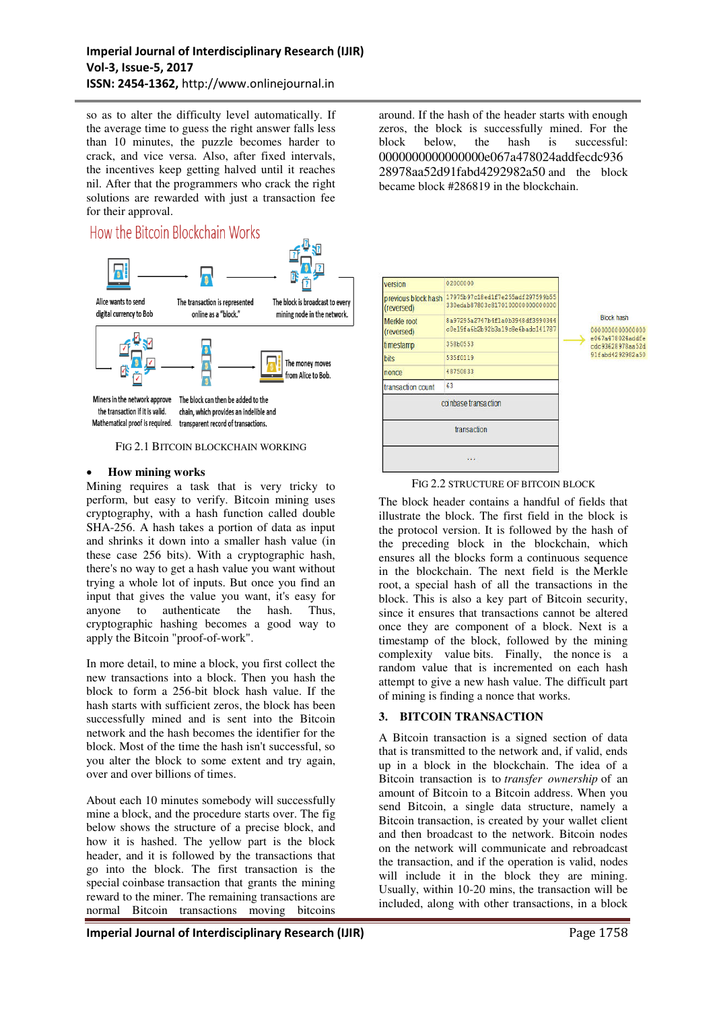so as to alter the difficulty level automatically. If the average time to guess the right answer falls less than 10 minutes, the puzzle becomes harder to crack, and vice versa. Also, after fixed intervals, the incentives keep getting halved until it reaches nil. After that the programmers who crack the right solutions are rewarded with just a transaction fee for their approval.

# How the Bitcoin Blockchain Works



#### FIG 2.1 BITCOIN BLOCKCHAIN WORKING

#### **How mining works**

Mining requires a task that is very tricky to perform, but easy to verify. Bitcoin mining uses cryptography, with a hash function called double SHA-256. A hash takes a portion of data as input and shrinks it down into a smaller hash value (in these case 256 bits). With a cryptographic hash, there's no way to get a hash value you want without trying a whole lot of inputs. But once you find an input that gives the value you want, it's easy for anyone to authenticate the hash. Thus, cryptographic hashing becomes a good way to apply the Bitcoin "proof-of-work".

In more detail, to mine a block, you first collect the new transactions into a block. Then you hash the block to form a 256-bit block hash value. If the hash starts with sufficient zeros, the block has been successfully mined and is sent into the Bitcoin network and the hash becomes the identifier for the block. Most of the time the hash isn't successful, so you alter the block to some extent and try again, over and over billions of times.

About each 10 minutes somebody will successfully mine a block, and the procedure starts over. The fig below shows the structure of a precise block, and how it is hashed. The yellow part is the block header, and it is followed by the transactions that go into the block. The first transaction is the special coinbase transaction that grants the mining reward to the miner. The remaining transactions are normal Bitcoin transactions moving bitcoins

around. If the hash of the header starts with enough zeros, the block is successfully mined. For the block below, the hash is successful: 0000000000000000e067a478024addfecdc936 28978aa52d91fabd4292982a50 and the block became block [#286819](https://blockchain.info/block-height/286819) in the blockchain.



#### FIG 2.2 STRUCTURE OF BITCOIN BLOCK

The block header contains a handful of fields that illustrate the block. The first field in the block is the protocol version. It is followed by the hash of the preceding block in the blockchain, which ensures all the blocks form a continuous sequence in the blockchain. The next field is the Merkle root, a special hash of all the transactions in the block. This is also a key part of Bitcoin security, since it ensures that transactions cannot be altered once they are component of a block. Next is a timestamp of the block, followed by the mining complexity value bits. Finally, the nonce is a random value that is incremented on each hash attempt to give a new hash value. The difficult part of mining is finding a nonce that works.

# **3. BITCOIN TRANSACTION**

A Bitcoin transaction is a signed section of data that is transmitted to the network and, if valid, ends up in a block in the blockchain. The idea of a Bitcoin transaction is to *transfer ownership* of an amount of Bitcoin to a Bitcoin address. When you send Bitcoin, a single data structure, namely a Bitcoin transaction, is created by your wallet client and then broadcast to the network. Bitcoin nodes on the network will communicate and rebroadcast the transaction, and if the operation is valid, nodes will include it in the block they are mining. Usually, within 10-20 mins, the transaction will be included, along with other transactions, in a block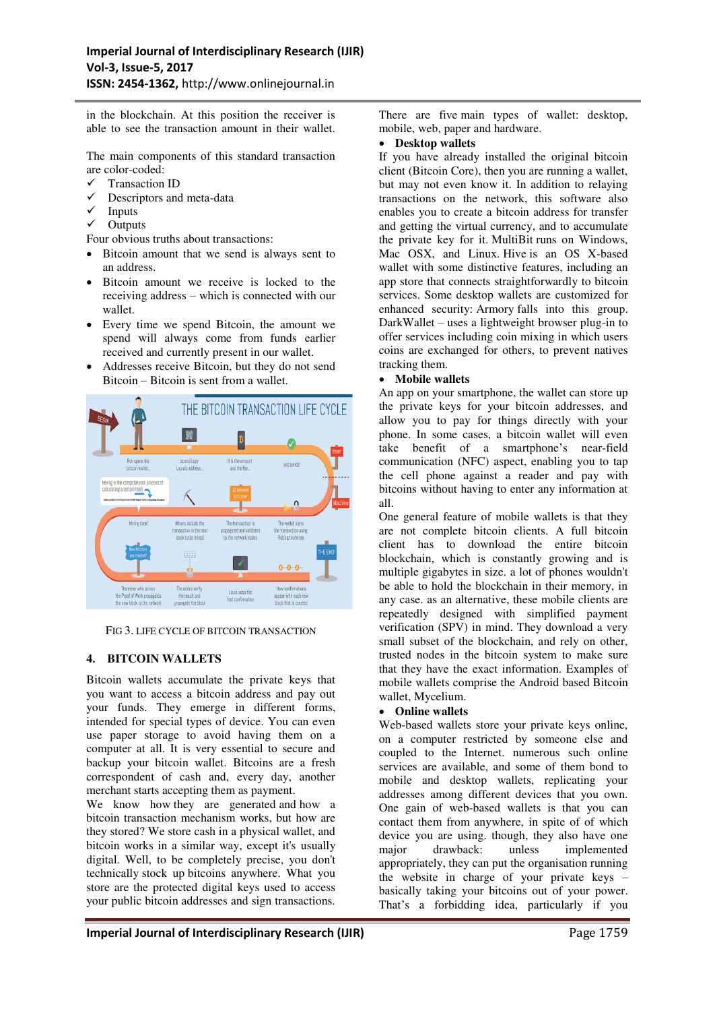in the blockchain. At this position the receiver is able to see the transaction amount in their wallet.

The main components of this standard transaction are color-coded:<br> $\checkmark$  Transaction

- Transaction ID
- $\checkmark$  Descriptors and meta-data
- $\checkmark$  Inputs
- **Outputs**

Four obvious truths about transactions:

- Bitcoin amount that we send is always sent to an address.
- Bitcoin amount we receive is locked to the receiving address – which is connected with our wallet.
- Every time we spend Bitcoin, the amount we spend will always come from funds earlier received and currently present in our wallet.
- Addresses receive Bitcoin, but they do not send Bitcoin – Bitcoin is sent from a wallet.



FIG 3. LIFE CYCLE OF BITCOIN TRANSACTION

#### **4. BITCOIN WALLETS**

Bitcoin wallets accumulate the private keys that you want to access a bitcoin address and pay out your funds. They emerge in different forms, intended for special types of device. You can even use paper storage to avoid having them on a computer at all. It is very essential to secure and backup your bitcoin wallet. Bitcoins are a fresh correspondent of cash and, every day, another merchant starts accepting them as payment.

We know how they are generated and how a bitcoin transaction mechanism works, but how are they stored? We store cash in a physical wallet, and bitcoin works in a similar way, except it's usually digital. Well, to be completely precise, you don't technically stock up bitcoins anywhere. What you store are the protected digital keys used to access your public bitcoin addresses and sign transactions.

There are five main types of wallet: desktop, mobile, web, paper and hardware.

#### **Desktop wallets**

If you have already installed the original bitcoin client (Bitcoin Core), then you are running a wallet, but may not even know it. In addition to relaying transactions on the network, this software also enables you to create a bitcoin address for transfer and getting the virtual currency, and to accumulate the private key for it. MultiBit runs on Windows, Mac OSX, and Linux. Hive is an OS X-based wallet with some distinctive features, including an app store that connects straightforwardly to bitcoin services. Some desktop wallets are customized for enhanced security: Armory falls into this group. DarkWallet – uses a lightweight browser plug-in to offer services including coin mixing in which users coins are exchanged for others, to prevent natives tracking them.

#### **Mobile wallets**

An app on your smartphone, the wallet can store up the private keys for your bitcoin addresses, and allow you to pay for things directly with your phone. In some cases, a bitcoin wallet will even take benefit of a smartphone's near-field communication (NFC) aspect, enabling you to tap the cell phone against a reader and pay with bitcoins without having to enter any information at all.

One general feature of mobile wallets is that they are not complete bitcoin clients. A full bitcoin client has to download the entire bitcoin blockchain, which is constantly growing and is multiple gigabytes in size. a lot of phones wouldn't be able to hold the blockchain in their memory, in any case. as an alternative, these mobile clients are repeatedly designed with simplified payment verification (SPV) in mind. They download a very small subset of the blockchain, and rely on other, trusted nodes in the bitcoin system to make sure that they have the exact information. Examples of mobile wallets comprise the Android based Bitcoin wallet, Mycelium.

#### **Online wallets**

Web-based wallets store your private keys online, on a computer restricted by someone else and coupled to the Internet. numerous such online services are available, and some of them bond to mobile and desktop wallets, replicating your addresses among different devices that you own. One gain of web-based wallets is that you can contact them from anywhere, in spite of of which device you are using. though, they also have one major drawback: unless implemented appropriately, they can put the organisation running the website in charge of your private keys – basically taking your bitcoins out of your power. That's a forbidding idea, particularly if you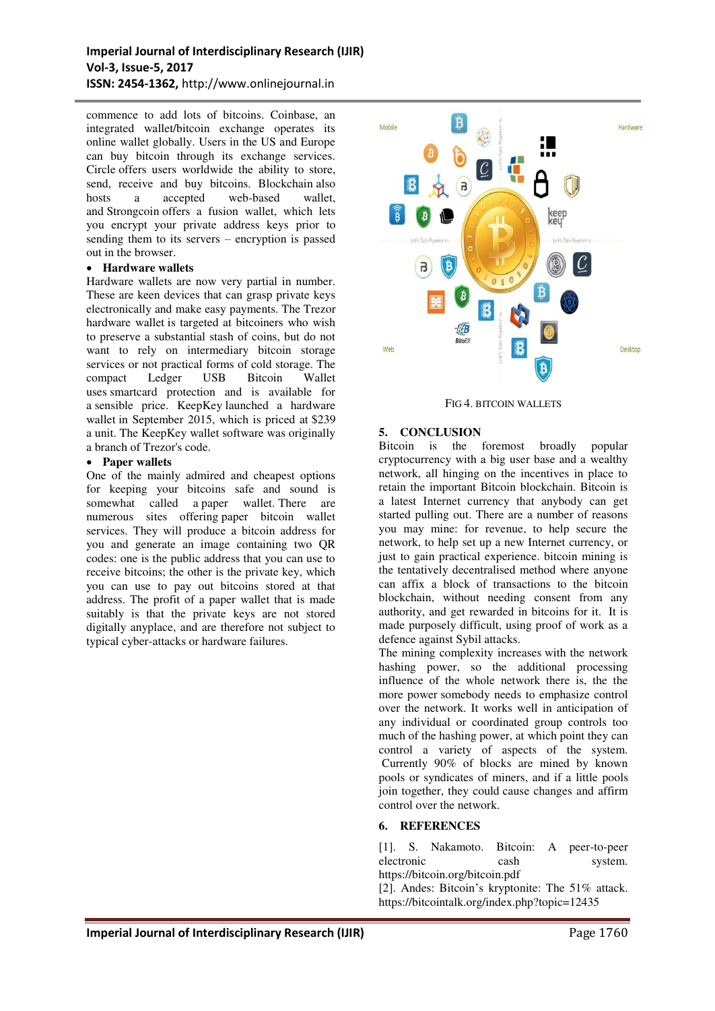commence to add lots of bitcoins. Coinbase, an integrated wallet/bitcoin exchange operates its online wallet globally. Users in the US and Europe can buy bitcoin through its exchange services. Circle offers users worldwide the ability to store, send, receive and buy bitcoins. Blockchain also hosts a accepted web-based wallet, and Strongcoin offers a fusion wallet, which lets you encrypt your private address keys prior to sending them to its servers – encryption is passed out in the browser.

#### **Hardware wallets**

Hardware wallets are now very partial in number. These are keen devices that can grasp private keys electronically and make easy payments. The Trezor hardware wallet is targeted at bitcoiners who wish to preserve a substantial stash of coins, but do not want to rely on intermediary bitcoin storage services or not practical forms of cold storage. The<br>compact Ledger USB Bitcoin Wallet compact Ledger USB Bitcoin Wallet uses smartcard protection and is available for a sensible price. KeepKey launched a hardware wallet in September 2015, which is priced at \$239 a unit. The KeepKey wallet software was originally a branch of Trezor's code.

#### **Paper wallets**

One of the mainly admired and cheapest options for keeping your bitcoins safe and sound is somewhat called a paper wallet. There are numerous sites offering paper bitcoin wallet services. They will produce a bitcoin address for you and generate an image containing two QR codes: one is the public address that you can use to receive bitcoins; the other is the private key, which you can use to pay out bitcoins stored at that address. The profit of a paper wallet that is made suitably is that the private keys are not stored digitally anyplace, and are therefore not subject to typical cyber-attacks or hardware failures.



FIG 4. BITCOIN WALLETS

# **5. CONCLUSION**

Bitcoin is the foremost broadly popular cryptocurrency with a big user base and a wealthy network, all hinging on the incentives in place to retain the important Bitcoin blockchain. Bitcoin is a latest Internet currency that anybody can get started pulling out. There are a number of reasons you may mine: for revenue, to help secure the network, to help set up a new Internet currency, or just to gain practical experience. bitcoin mining is the tentatively decentralised method where anyone can affix a block of transactions to the bitcoin blockchain, without needing consent from any authority, and get rewarded in bitcoins for it. It is made purposely difficult, using proof of work as a defence against Sybil attacks.

The mining complexity increases with the network hashing power, so the additional processing influence of the whole network there is, the the more power somebody needs to emphasize control over the network. It works well in anticipation of any individual or coordinated group controls too much of the hashing power, at which point they can control a variety of aspects of the system. Currently 90% of blocks are mined by known pools or syndicates of miners, and if a little pools join together, they could cause changes and affirm control over the network.

#### **6. REFERENCES**

[1]. S. Nakamoto. Bitcoin: A peer-to-peer electronic cash system. https://bitcoin.org/bitcoin.pdf

[2]. Andes: Bitcoin's kryptonite: The 51% attack. https://bitcointalk.org/index.php?topic=12435